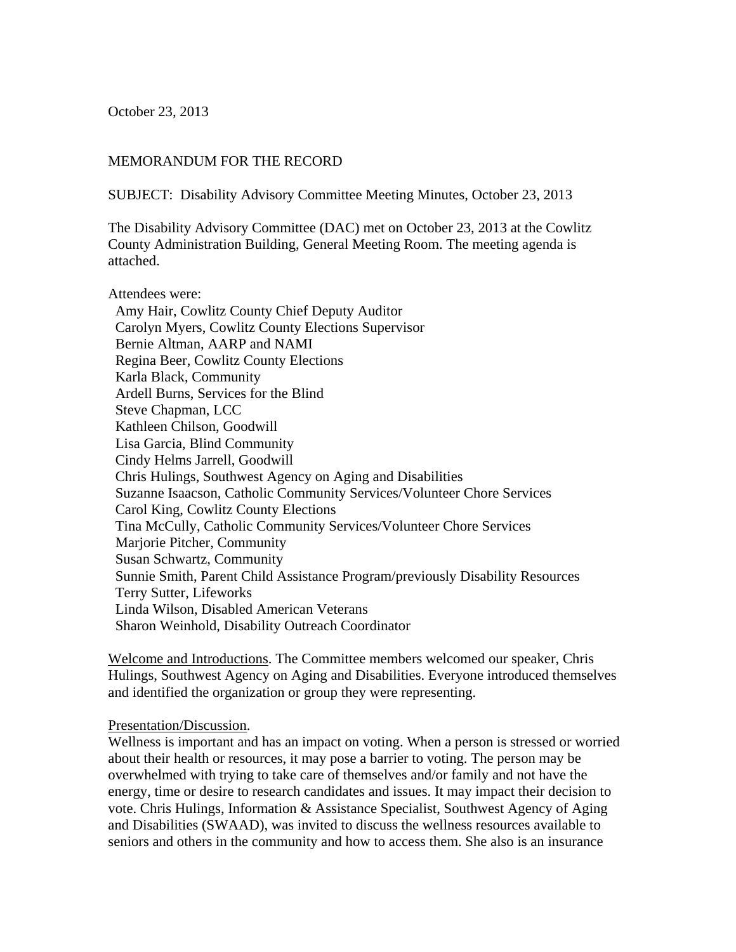October 23, 2013

## MEMORANDUM FOR THE RECORD

SUBJECT: Disability Advisory Committee Meeting Minutes, October 23, 2013

The Disability Advisory Committee (DAC) met on October 23, 2013 at the Cowlitz County Administration Building, General Meeting Room. The meeting agenda is attached.

Attendees were: Amy Hair, Cowlitz County Chief Deputy Auditor Carolyn Myers, Cowlitz County Elections Supervisor Bernie Altman, AARP and NAMI Regina Beer, Cowlitz County Elections Karla Black, Community Ardell Burns, Services for the Blind Steve Chapman, LCC Kathleen Chilson, Goodwill Lisa Garcia, Blind Community Cindy Helms Jarrell, Goodwill Chris Hulings, Southwest Agency on Aging and Disabilities Suzanne Isaacson, Catholic Community Services/Volunteer Chore Services Carol King, Cowlitz County Elections Tina McCully, Catholic Community Services/Volunteer Chore Services Marjorie Pitcher, Community Susan Schwartz, Community Sunnie Smith, Parent Child Assistance Program/previously Disability Resources Terry Sutter, Lifeworks Linda Wilson, Disabled American Veterans Sharon Weinhold, Disability Outreach Coordinator

Welcome and Introductions. The Committee members welcomed our speaker, Chris Hulings, Southwest Agency on Aging and Disabilities. Everyone introduced themselves and identified the organization or group they were representing.

## Presentation/Discussion.

Wellness is important and has an impact on voting. When a person is stressed or worried about their health or resources, it may pose a barrier to voting. The person may be overwhelmed with trying to take care of themselves and/or family and not have the energy, time or desire to research candidates and issues. It may impact their decision to vote. Chris Hulings, Information & Assistance Specialist, Southwest Agency of Aging and Disabilities (SWAAD), was invited to discuss the wellness resources available to seniors and others in the community and how to access them. She also is an insurance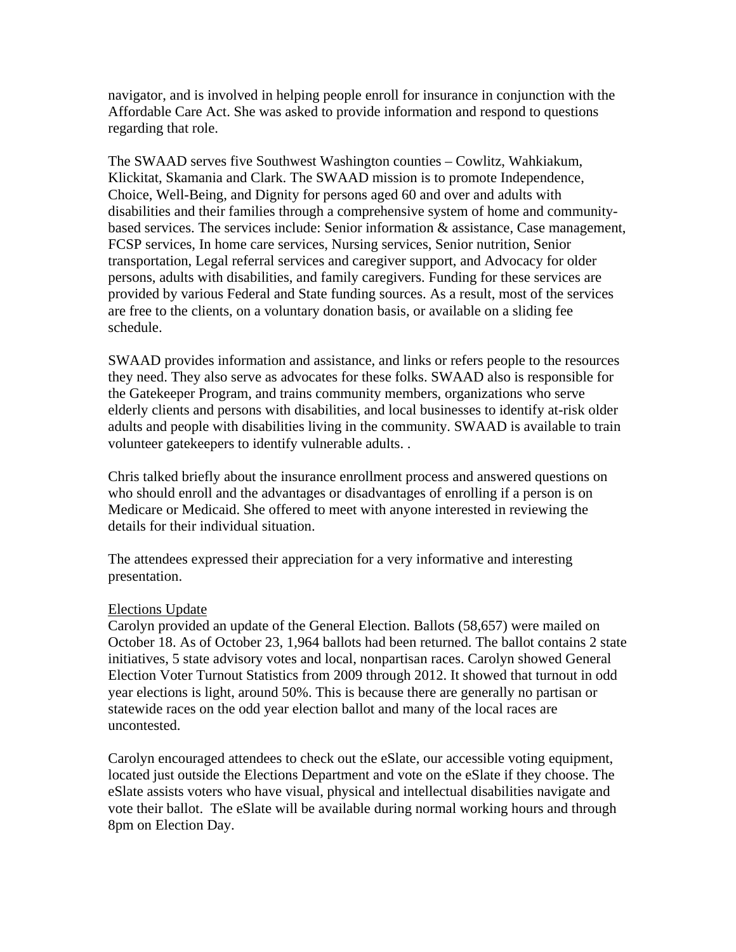navigator, and is involved in helping people enroll for insurance in conjunction with the Affordable Care Act. She was asked to provide information and respond to questions regarding that role.

The SWAAD serves five Southwest Washington counties – Cowlitz, Wahkiakum, Klickitat, Skamania and Clark. The SWAAD mission is to promote Independence, Choice, Well-Being, and Dignity for persons aged 60 and over and adults with disabilities and their families through a comprehensive system of home and communitybased services. The services include: Senior information & assistance, Case management, FCSP services, In home care services, Nursing services, Senior nutrition, Senior transportation, Legal referral services and caregiver support, and Advocacy for older persons, adults with disabilities, and family caregivers. Funding for these services are provided by various Federal and State funding sources. As a result, most of the services are free to the clients, on a voluntary donation basis, or available on a sliding fee schedule.

SWAAD provides information and assistance, and links or refers people to the resources they need. They also serve as advocates for these folks. SWAAD also is responsible for the Gatekeeper Program, and trains community members, organizations who serve elderly clients and persons with disabilities, and local businesses to identify at-risk older adults and people with disabilities living in the community. SWAAD is available to train volunteer gatekeepers to identify vulnerable adults. .

Chris talked briefly about the insurance enrollment process and answered questions on who should enroll and the advantages or disadvantages of enrolling if a person is on Medicare or Medicaid. She offered to meet with anyone interested in reviewing the details for their individual situation.

The attendees expressed their appreciation for a very informative and interesting presentation.

## Elections Update

Carolyn provided an update of the General Election. Ballots (58,657) were mailed on October 18. As of October 23, 1,964 ballots had been returned. The ballot contains 2 state initiatives, 5 state advisory votes and local, nonpartisan races. Carolyn showed General Election Voter Turnout Statistics from 2009 through 2012. It showed that turnout in odd year elections is light, around 50%. This is because there are generally no partisan or statewide races on the odd year election ballot and many of the local races are uncontested.

Carolyn encouraged attendees to check out the eSlate, our accessible voting equipment, located just outside the Elections Department and vote on the eSlate if they choose. The eSlate assists voters who have visual, physical and intellectual disabilities navigate and vote their ballot. The eSlate will be available during normal working hours and through 8pm on Election Day.